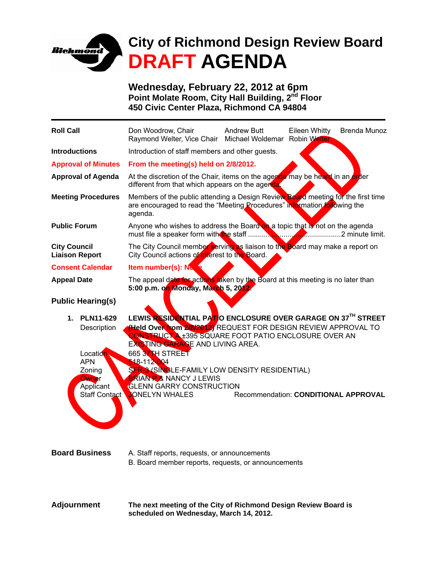

**Wednesday, February 22, 2012 at 6pm Point Molate Room, City Hall Building, 2<sup>nd</sup> Floor 450 Civic Center Plaza, Richmond CA 94804** 

| <b>Roll Call</b>                                                                       | Don Woodrow, Chair<br>Raymond Welter, Vice Chair Michael Woldemar Robin Welter                                                                                                                                                                                                                                                                                                                                                 | <b>Andrew Butt</b>                   | Eileen Whitty | <b>Brenda Munoz</b> |
|----------------------------------------------------------------------------------------|--------------------------------------------------------------------------------------------------------------------------------------------------------------------------------------------------------------------------------------------------------------------------------------------------------------------------------------------------------------------------------------------------------------------------------|--------------------------------------|---------------|---------------------|
| <b>Introductions</b>                                                                   | Introduction of staff members and other guests.                                                                                                                                                                                                                                                                                                                                                                                |                                      |               |                     |
| <b>Approval of Minutes</b>                                                             | From the meeting(s) held on 2/8/2012.                                                                                                                                                                                                                                                                                                                                                                                          |                                      |               |                     |
| <b>Approval of Agenda</b>                                                              | At the discretion of the Chair, items on the agenda may be heard in an order<br>different from that which appears on the agenda                                                                                                                                                                                                                                                                                                |                                      |               |                     |
| <b>Meeting Procedures</b>                                                              | Members of the public attending a Design Review Board meeting for the first time<br>are encouraged to read the "Meeting Procedures" information following the<br>agenda.                                                                                                                                                                                                                                                       |                                      |               |                     |
| <b>Public Forum</b>                                                                    | Anyone who wishes to address the Board on a topic that is not on the agenda                                                                                                                                                                                                                                                                                                                                                    |                                      |               |                     |
| <b>City Council</b><br><b>Liaison Report</b>                                           | The City Council member serving as liaison to the Board may make a report on<br>City Council actions of interest to the Board.                                                                                                                                                                                                                                                                                                 |                                      |               |                     |
| <b>Consent Calendar</b>                                                                | <b>Item number(s): No. 1</b>                                                                                                                                                                                                                                                                                                                                                                                                   |                                      |               |                     |
| <b>Appeal Date</b>                                                                     | The appeal date for actions taken by the Board at this meeting is no later than<br>5:00 p.m. on Monday, March 5, 2012.                                                                                                                                                                                                                                                                                                         |                                      |               |                     |
| <b>Public Hearing(s)</b>                                                               |                                                                                                                                                                                                                                                                                                                                                                                                                                |                                      |               |                     |
| 1. PLN11-629<br>Description<br>Location.<br><b>APN</b><br>Zoning<br>Owner<br>Applicant | LEWIS RESIDENTIAL PATIO ENCLOSURE OVER GARAGE ON 37TH STREET<br>(Held Over from 2/8/2012) REQUEST FOR DESIGN REVIEW APPROVAL TO<br><b>CONSTRUCT A ±395 SQUARE FOOT PATIO ENCLOSURE OVER AN</b><br>EXISTING GARAGE AND LIVING AREA.<br>665 37 H STREET<br>518-112-004<br>SFR-3 (SINGLE-FAMILY LOW DENSITY RESIDENTIAL)<br><b>BRIAN P &amp; NANCY J LEWIS</b><br><b>GLENN GARRY CONSTRUCTION</b><br>Staff Contact CONELYN WHALES | Recommendation: CONDITIONAL APPROVAL |               |                     |
| <b>Board Business</b>                                                                  | A. Staff reports, requests, or announcements<br>B. Board member reports, requests, or announcements                                                                                                                                                                                                                                                                                                                            |                                      |               |                     |
| <b>Adjournment</b>                                                                     | The next meeting of the City of Richmond Design Review Board is                                                                                                                                                                                                                                                                                                                                                                |                                      |               |                     |

**scheduled on Wednesday, March 14, 2012.**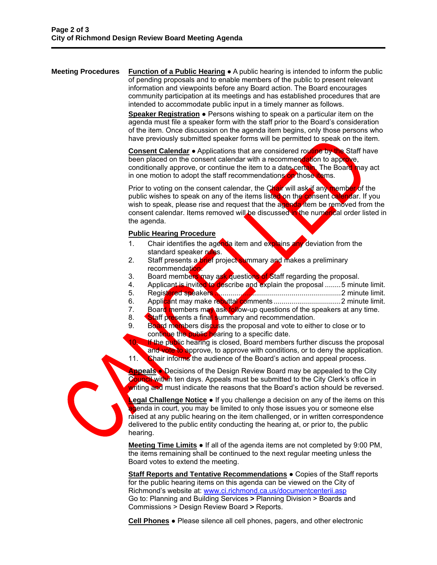**Meeting Procedures** Function of a Public Hearing ● A public hearing is intended to inform the public of pending proposals and to enable members of the public to present relevant information and viewpoints before any Board action. The Board encourages community participation at its meetings and has established procedures that are intended to accommodate public input in a timely manner as follows.

> **Speaker Registration ●** Persons wishing to speak on a particular item on the agenda must file a speaker form with the staff prior to the Board's consideration of the item. Once discussion on the agenda item begins, only those persons who have previously submitted speaker forms will be permitted to speak on the item.

**Consent Calendar** ● Applications that are considered routine by the Staff have been placed on the consent calendar with a recommendation to approve, conditionally approve, or continue the item to a date certain. The Board may act in one motion to adopt the staff recommendations on those items.

Prior to voting on the consent calendar, the Chair will ask if any member of the public wishes to speak on any of the items listed on the consent calendar. If you wish to speak, please rise and request that the agenda item be removed from the consent calendar. Items removed will be discussed in the numerical order listed in the agenda.

## **Public Hearing Procedure**

- 1. Chair identifies the agenda item and explains any deviation from the standard speaker rules.
- 2. Staff presents a brief project summary and makes a preliminary recommendation.
- 3. Board members may ask questions of Staff regarding the proposal.
- 4. Applicant is invited to describe and explain the proposal ........5 minute limit.
- 5. Registered speakers ................................................................2 minute limit.
- 6. Applicant may make rebuttal comments ..................................2 minute limit.
- 7. Board members may ask follow-up questions of the speakers at any time.
- 8. Staff presents a final summary and recommendation.
- 9. Board members discuss the proposal and vote to either to close or to continue the public hearing to a specific date.

10. If the public hearing is closed, Board members further discuss the proposal and vote to approve, to approve with conditions, or to deny the application. 11. Chair informs the audience of the Board's action and appeal process.

**Appeals** ● Decisions of the Design Review Board may be appealed to the City Council within ten days. Appeals must be submitted to the City Clerk's office in writing and must indicate the reasons that the Board's action should be reversed.

**Legal Challenge Notice** • If you challenge a decision on any of the items on this agenda in court, you may be limited to only those issues you or someone else raised at any public hearing on the item challenged, or in written correspondence delivered to the public entity conducting the hearing at, or prior to, the public hearing.

**Meeting Time Limits** ● If all of the agenda items are not completed by 9:00 PM, the items remaining shall be continued to the next regular meeting unless the Board votes to extend the meeting.

**Staff Reports and Tentative Recommendations** ● Copies of the Staff reports for the public hearing items on this agenda can be viewed on the City of Richmond's website at: www.ci.richmond.ca.us/documentcenterii.asp Go to: Planning and Building Services **>** Planning Division > Boards and Commissions > Design Review Board **>** Reports.

**Cell Phones** ● Please silence all cell phones, pagers, and other electronic